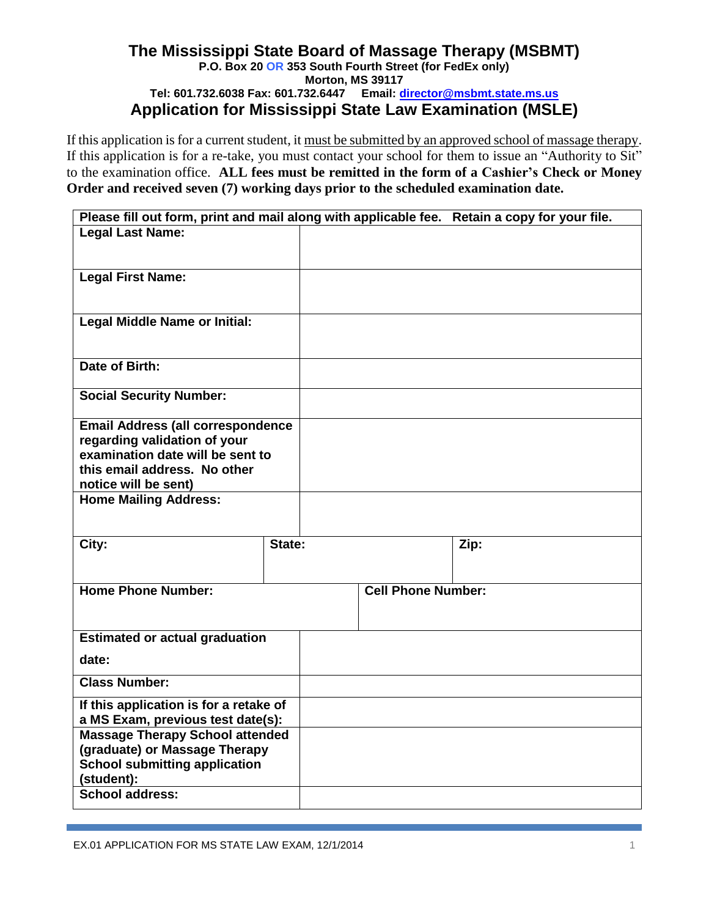## **The Mississippi State Board of Massage Therapy (MSBMT) P.O. Box 20 OR 353 South Fourth Street (for FedEx only) Morton, MS 39117 Tel: 601.732.6038 Fax: 601.732.6447 Email: director@msbmt.state.ms.us Application for Mississippi State Law Examination (MSLE)**

If this application is for a current student, it must be submitted by an approved school of massage therapy. If this application is for a re-take, you must contact your school for them to issue an "Authority to Sit" to the examination office. **ALL fees must be remitted in the form of a Cashier's Check or Money Order and received seven (7) working days prior to the scheduled examination date.**

| Please fill out form, print and mail along with applicable fee. Retain a copy for your file. |        |                           |      |  |
|----------------------------------------------------------------------------------------------|--------|---------------------------|------|--|
| <b>Legal Last Name:</b>                                                                      |        |                           |      |  |
|                                                                                              |        |                           |      |  |
| <b>Legal First Name:</b>                                                                     |        |                           |      |  |
|                                                                                              |        |                           |      |  |
| <b>Legal Middle Name or Initial:</b>                                                         |        |                           |      |  |
|                                                                                              |        |                           |      |  |
| Date of Birth:                                                                               |        |                           |      |  |
|                                                                                              |        |                           |      |  |
| <b>Social Security Number:</b>                                                               |        |                           |      |  |
| <b>Email Address (all correspondence</b>                                                     |        |                           |      |  |
| regarding validation of your<br>examination date will be sent to                             |        |                           |      |  |
| this email address. No other                                                                 |        |                           |      |  |
| notice will be sent)                                                                         |        |                           |      |  |
| <b>Home Mailing Address:</b>                                                                 |        |                           |      |  |
|                                                                                              |        |                           |      |  |
| City:                                                                                        | State: |                           | Zip: |  |
|                                                                                              |        |                           |      |  |
| <b>Home Phone Number:</b>                                                                    |        | <b>Cell Phone Number:</b> |      |  |
|                                                                                              |        |                           |      |  |
| <b>Estimated or actual graduation</b>                                                        |        |                           |      |  |
| date:                                                                                        |        |                           |      |  |
|                                                                                              |        |                           |      |  |
| <b>Class Number:</b>                                                                         |        |                           |      |  |
| If this application is for a retake of                                                       |        |                           |      |  |
| a MS Exam, previous test date(s):<br><b>Massage Therapy School attended</b>                  |        |                           |      |  |
| (graduate) or Massage Therapy                                                                |        |                           |      |  |
| <b>School submitting application</b>                                                         |        |                           |      |  |
| (student):<br>School address:                                                                |        |                           |      |  |
|                                                                                              |        |                           |      |  |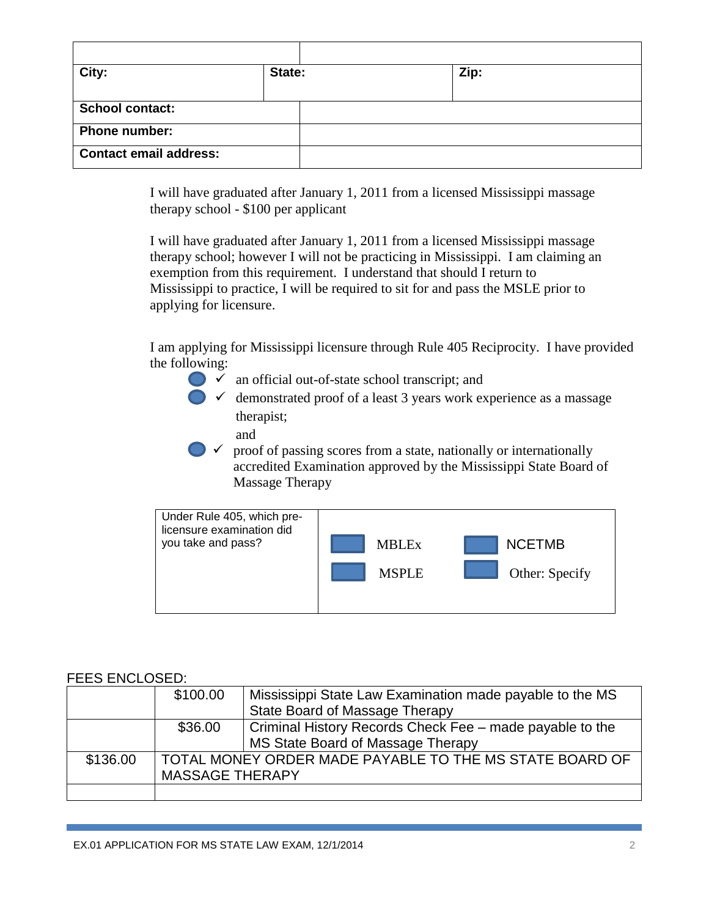| City:                         | State: | Zip: |
|-------------------------------|--------|------|
|                               |        |      |
| <b>School contact:</b>        |        |      |
| <b>Phone number:</b>          |        |      |
| <b>Contact email address:</b> |        |      |

I will have graduated after January 1, 2011 from a licensed Mississippi massage therapy school - \$100 per applicant

I will have graduated after January 1, 2011 from a licensed Mississippi massage therapy school; however I will not be practicing in Mississippi. I am claiming an exemption from this requirement. I understand that should I return to Mississippi to practice, I will be required to sit for and pass the MSLE prior to applying for licensure.

I am applying for Mississippi licensure through Rule 405 Reciprocity. I have provided the following:

- $\bullet\checkmark$  an official out-of-state school transcript; and
- $\bullet$   $\checkmark$  demonstrated proof of a least 3 years work experience as a massage therapist;
	- and

 $\triangleright\checkmark$  proof of passing scores from a state, nationally or internationally accredited Examination approved by the Mississippi State Board of Massage Therapy



## FFFS FNCLOSED:

|          | \$100.00               | Mississippi State Law Examination made payable to the MS |
|----------|------------------------|----------------------------------------------------------|
|          |                        | State Board of Massage Therapy                           |
|          | \$36.00                | Criminal History Records Check Fee – made payable to the |
|          |                        | MS State Board of Massage Therapy                        |
| \$136.00 |                        | TOTAL MONEY ORDER MADE PAYABLE TO THE MS STATE BOARD OF  |
|          | <b>MASSAGE THERAPY</b> |                                                          |
|          |                        |                                                          |